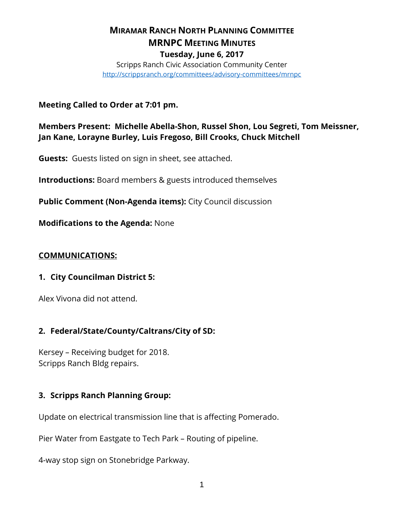## **MIRAMAR RANCH NORTH PLANNING COMMITTEE MRNPC MEETING MINUTES Tuesday, June 6, 2017** Scripps Ranch Civic Association Community Center

<http://scrippsranch.org/committees/advisory-committees/mrnpc>

**Meeting Called to Order at 7:01 pm.**

**Members Present: Michelle Abella-Shon, Russel Shon, Lou Segreti, Tom Meissner, Jan Kane, Lorayne Burley, Luis Fregoso, Bill Crooks, Chuck Mitchell**

**Guests:** Guests listed on sign in sheet, see attached.

**Introductions:** Board members & guests introduced themselves

**Public Comment (Non-Agenda items):** City Council discussion

**Modifications to the Agenda:** None

### **COMMUNICATIONS:**

### **1. City Councilman District 5:**

Alex Vivona did not attend.

## **2. Federal/State/County/Caltrans/City of SD:**

Kersey – Receiving budget for 2018. Scripps Ranch Bldg repairs.

## **3. Scripps Ranch Planning Group:**

Update on electrical transmission line that is affecting Pomerado.

Pier Water from Eastgate to Tech Park – Routing of pipeline.

4-way stop sign on Stonebridge Parkway.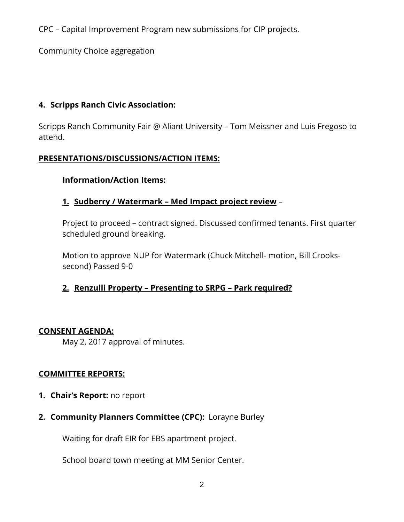CPC – Capital Improvement Program new submissions for CIP projects.

Community Choice aggregation

## **4. Scripps Ranch Civic Association:**

Scripps Ranch Community Fair @ Aliant University – Tom Meissner and Luis Fregoso to attend.

## **PRESENTATIONS/DISCUSSIONS/ACTION ITEMS:**

## **Information/Action Items:**

# **1. Sudberry / Watermark – Med Impact project review** –

Project to proceed – contract signed. Discussed confirmed tenants. First quarter scheduled ground breaking.

Motion to approve NUP for Watermark (Chuck Mitchell- motion, Bill Crookssecond) Passed 9-0

## **2. Renzulli Property – Presenting to SRPG – Park required?**

## **CONSENT AGENDA:**

May 2, 2017 approval of minutes.

## **COMMITTEE REPORTS:**

- **1. Chair's Report:** no report
- **2. Community Planners Committee (CPC):** Lorayne Burley

Waiting for draft EIR for EBS apartment project.

School board town meeting at MM Senior Center.